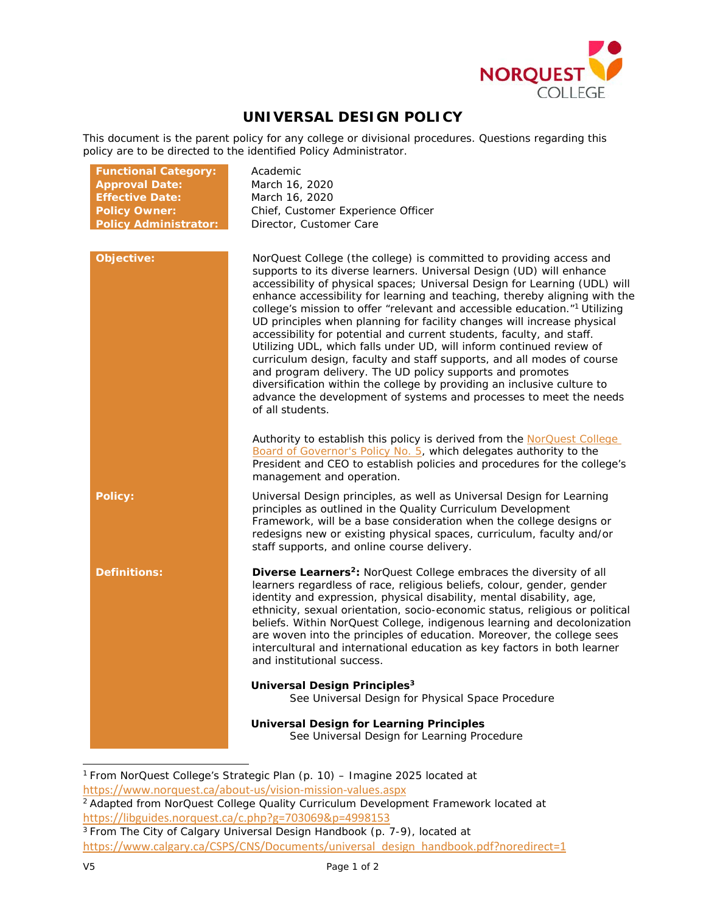

## **UNIVERSAL DESIGN POLICY**

This document is the parent policy for any college or divisional procedures. Questions regarding this policy are to be directed to the identified Policy Administrator.

| <b>Functional Category:</b>  | Academic                                                                                                                                                                                                                                                                                                                                                                                                                                                                                                                                                                                                                                                                                                                                                                                                                                                                                                                      |
|------------------------------|-------------------------------------------------------------------------------------------------------------------------------------------------------------------------------------------------------------------------------------------------------------------------------------------------------------------------------------------------------------------------------------------------------------------------------------------------------------------------------------------------------------------------------------------------------------------------------------------------------------------------------------------------------------------------------------------------------------------------------------------------------------------------------------------------------------------------------------------------------------------------------------------------------------------------------|
| <b>Approval Date:</b>        | March 16, 2020                                                                                                                                                                                                                                                                                                                                                                                                                                                                                                                                                                                                                                                                                                                                                                                                                                                                                                                |
| <b>Effective Date:</b>       | March 16, 2020                                                                                                                                                                                                                                                                                                                                                                                                                                                                                                                                                                                                                                                                                                                                                                                                                                                                                                                |
| <b>Policy Owner:</b>         | Chief, Customer Experience Officer                                                                                                                                                                                                                                                                                                                                                                                                                                                                                                                                                                                                                                                                                                                                                                                                                                                                                            |
| <b>Policy Administrator:</b> | Director, Customer Care                                                                                                                                                                                                                                                                                                                                                                                                                                                                                                                                                                                                                                                                                                                                                                                                                                                                                                       |
|                              |                                                                                                                                                                                                                                                                                                                                                                                                                                                                                                                                                                                                                                                                                                                                                                                                                                                                                                                               |
| Objective:                   | NorQuest College (the college) is committed to providing access and<br>supports to its diverse learners. Universal Design (UD) will enhance<br>accessibility of physical spaces; Universal Design for Learning (UDL) will<br>enhance accessibility for learning and teaching, thereby aligning with the<br>college's mission to offer "relevant and accessible education."1 Utilizing<br>UD principles when planning for facility changes will increase physical<br>accessibility for potential and current students, faculty, and staff.<br>Utilizing UDL, which falls under UD, will inform continued review of<br>curriculum design, faculty and staff supports, and all modes of course<br>and program delivery. The UD policy supports and promotes<br>diversification within the college by providing an inclusive culture to<br>advance the development of systems and processes to meet the needs<br>of all students. |
|                              | Authority to establish this policy is derived from the NorQuest College<br>Board of Governor's Policy No. 5, which delegates authority to the<br>President and CEO to establish policies and procedures for the college's<br>management and operation.                                                                                                                                                                                                                                                                                                                                                                                                                                                                                                                                                                                                                                                                        |
| <b>Policy:</b>               | Universal Design principles, as well as Universal Design for Learning<br>principles as outlined in the Quality Curriculum Development<br>Framework, will be a base consideration when the college designs or<br>redesigns new or existing physical spaces, curriculum, faculty and/or<br>staff supports, and online course delivery.                                                                                                                                                                                                                                                                                                                                                                                                                                                                                                                                                                                          |
| <b>Definitions:</b>          | <b>Diverse Learners<sup>2</sup>:</b> NorQuest College embraces the diversity of all<br>learners regardless of race, religious beliefs, colour, gender, gender<br>identity and expression, physical disability, mental disability, age,<br>ethnicity, sexual orientation, socio-economic status, religious or political<br>beliefs. Within NorQuest College, indigenous learning and decolonization<br>are woven into the principles of education. Moreover, the college sees<br>intercultural and international education as key factors in both learner<br>and institutional success.                                                                                                                                                                                                                                                                                                                                        |
|                              | Universal Design Principles <sup>3</sup><br>See Universal Design for Physical Space Procedure                                                                                                                                                                                                                                                                                                                                                                                                                                                                                                                                                                                                                                                                                                                                                                                                                                 |
|                              | <b>Universal Design for Learning Principles</b><br>See Universal Design for Learning Procedure                                                                                                                                                                                                                                                                                                                                                                                                                                                                                                                                                                                                                                                                                                                                                                                                                                |

<span id="page-0-0"></span><sup>1</sup> From NorQuest College's Strategic Plan (p. 10) – Imagine 2025 located at <https://www.norquest.ca/about-us/vision-mission-values.aspx> <sup>2</sup> Adapted from NorQuest College Quality Curriculum Development Framework located at

<span id="page-0-1"></span><https://libguides.norquest.ca/c.php?g=703069&p=4998153> 3 From The City of Calgary *Universal Design Handbook* (p. 7-9), located at

<span id="page-0-2"></span>[https://www.calgary.ca/CSPS/CNS/Documents/universal\\_design\\_handbook.pdf?noredirect=1](https://www.calgary.ca/CSPS/CNS/Documents/universal_design_handbook.pdf?noredirect=1)